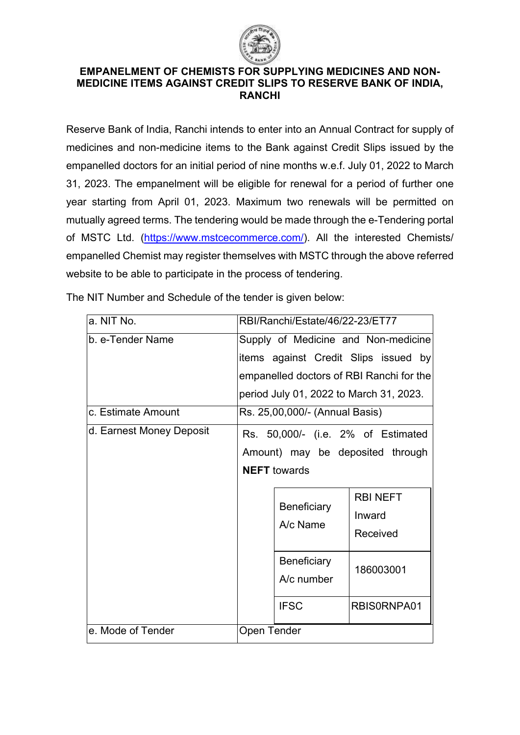

### **EMPANELMENT OF CHEMISTS FOR SUPPLYING MEDICINES AND NON-MEDICINE ITEMS AGAINST CREDIT SLIPS TO RESERVE BANK OF INDIA, RANCHI**

Reserve Bank of India, Ranchi intends to enter into an Annual Contract for supply of medicines and non-medicine items to the Bank against Credit Slips issued by the empanelled doctors for an initial period of nine months w.e.f. July 01, 2022 to March 31, 2023. The empanelment will be eligible for renewal for a period of further one year starting from April 01, 2023. Maximum two renewals will be permitted on mutually agreed terms. The tendering would be made through the e-Tendering portal of MSTC Ltd. [\(https://www.mstcecommerce.com/\)](https://www.mstcecommerce.com/). All the interested Chemists/ empanelled Chemist may register themselves with MSTC through the above referred website to be able to participate in the process of tendering.

| a. NIT No.               | RBI/Ranchi/Estate/46/22-23/ET77                                                                                                                                                                |  |  |
|--------------------------|------------------------------------------------------------------------------------------------------------------------------------------------------------------------------------------------|--|--|
| b. e-Tender Name         | Supply of Medicine and Non-medicine<br>items against Credit Slips issued by<br>empanelled doctors of RBI Ranchi for the<br>period July 01, 2022 to March 31, 2023.                             |  |  |
| c. Estimate Amount       | Rs. 25,00,000/- (Annual Basis)                                                                                                                                                                 |  |  |
| d. Earnest Money Deposit | Rs. 50,000/- (i.e. 2% of Estimated<br>Amount) may be deposited through<br><b>NEFT</b> towards<br><b>RBI NEFT</b><br><b>Beneficiary</b><br>Inward<br>A/c Name<br>Received<br><b>Beneficiary</b> |  |  |
|                          | 186003001<br>A/c number<br><b>IFSC</b><br>RBIS0RNPA01                                                                                                                                          |  |  |
| e. Mode of Tender        | <b>Open Tender</b>                                                                                                                                                                             |  |  |

The NIT Number and Schedule of the tender is given below: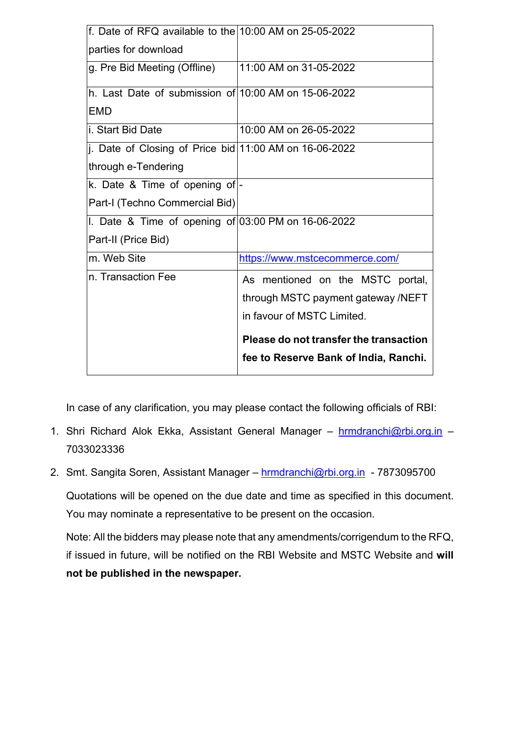| f. Date of RFQ available to the $10:00$ AM on 25-05-2022 |                                        |
|----------------------------------------------------------|----------------------------------------|
| parties for download                                     |                                        |
| g. Pre Bid Meeting (Offline)                             | 11:00 AM on 31-05-2022                 |
| h. Last Date of submission of 10:00 AM on 15-06-2022     |                                        |
| EMD                                                      |                                        |
| i. Start Bid Date                                        | 10:00 AM on 26-05-2022                 |
| j. Date of Closing of Price bid 11:00 AM on 16-06-2022   |                                        |
| through e-Tendering                                      |                                        |
| k. Date & Time of opening of -                           |                                        |
| Part-I (Techno Commercial Bid)                           |                                        |
| I. Date & Time of opening of $03:00$ PM on 16-06-2022    |                                        |
| Part-II (Price Bid)                                      |                                        |
| m. Web Site                                              | https://www.mstcecommerce.com/         |
| n. Transaction Fee                                       | As mentioned on the MSTC portal,       |
|                                                          | through MSTC payment gateway /NEFT     |
|                                                          | in favour of MSTC Limited.             |
|                                                          | Please do not transfer the transaction |
|                                                          | fee to Reserve Bank of India, Ranchi.  |

In case of any clarification, you may please contact the following officials of RBI:

- 1. Shri Richard Alok Ekka, Assistant General Manager [hrmdranchi@rbi.org.in](mailto:hrmdranchi@rbi.org.in) 7033023336
- 2. Smt. Sangita Soren, Assistant Manager [hrmdranchi@rbi.org.in](mailto:hrmdranchi@rbi.org.in) 7873095700 Quotations will be opened on the due date and time as specified in this document. You may nominate a representative to be present on the occasion.

Note: All the bidders may please note that any amendments/corrigendum to the RFQ, if issued in future, will be notified on the RBI Website and MSTC Website and **will not be published in the newspaper.**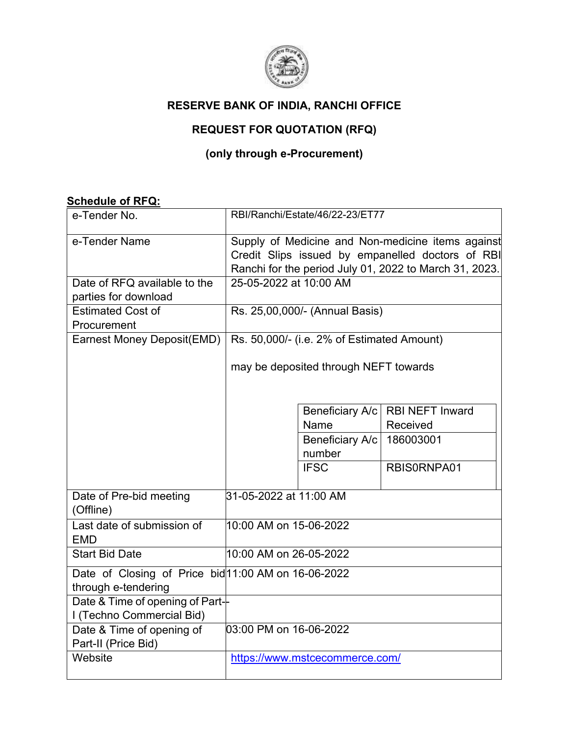

## **RESERVE BANK OF INDIA, RANCHI OFFICE**

# **REQUEST FOR QUOTATION (RFQ)**

## **(only through e-Procurement)**

## **Schedule of RFQ:**

| e-Tender No.                                        | RBI/Ranchi/Estate/46/22-23/ET77                                                                       |                             |                        |
|-----------------------------------------------------|-------------------------------------------------------------------------------------------------------|-----------------------------|------------------------|
| e-Tender Name                                       | Supply of Medicine and Non-medicine items against<br>Credit Slips issued by empanelled doctors of RBI |                             |                        |
|                                                     | Ranchi for the period July 01, 2022 to March 31, 2023.<br>25-05-2022 at 10:00 AM                      |                             |                        |
| Date of RFQ available to the                        |                                                                                                       |                             |                        |
| parties for download                                |                                                                                                       |                             |                        |
| <b>Estimated Cost of</b>                            | Rs. 25,00,000/- (Annual Basis)                                                                        |                             |                        |
| Procurement                                         |                                                                                                       |                             |                        |
| Earnest Money Deposit(EMD)                          | Rs. 50,000/- (i.e. 2% of Estimated Amount)                                                            |                             |                        |
|                                                     | may be deposited through NEFT towards                                                                 |                             |                        |
|                                                     |                                                                                                       | Beneficiary A/c             | <b>RBI NEFT Inward</b> |
|                                                     |                                                                                                       | Name                        | Received               |
|                                                     |                                                                                                       | Beneficiary A/c   186003001 |                        |
|                                                     |                                                                                                       | number                      |                        |
|                                                     |                                                                                                       | <b>IFSC</b>                 | RBIS0RNPA01            |
| Date of Pre-bid meeting<br>(Offline)                | 31-05-2022 at 11:00 AM                                                                                |                             |                        |
| Last date of submission of<br><b>EMD</b>            | 10:00 AM on 15-06-2022                                                                                |                             |                        |
| <b>Start Bid Date</b>                               | 10:00 AM on 26-05-2022                                                                                |                             |                        |
| Date of Closing of Price bid 11:00 AM on 16-06-2022 |                                                                                                       |                             |                        |
| through e-tendering                                 |                                                                                                       |                             |                        |
| Date & Time of opening of Part-                     |                                                                                                       |                             |                        |
| I (Techno Commercial Bid)                           |                                                                                                       |                             |                        |
| Date & Time of opening of<br>Part-II (Price Bid)    | 03:00 PM on 16-06-2022                                                                                |                             |                        |
| Website                                             | https://www.mstcecommerce.com/                                                                        |                             |                        |
|                                                     |                                                                                                       |                             |                        |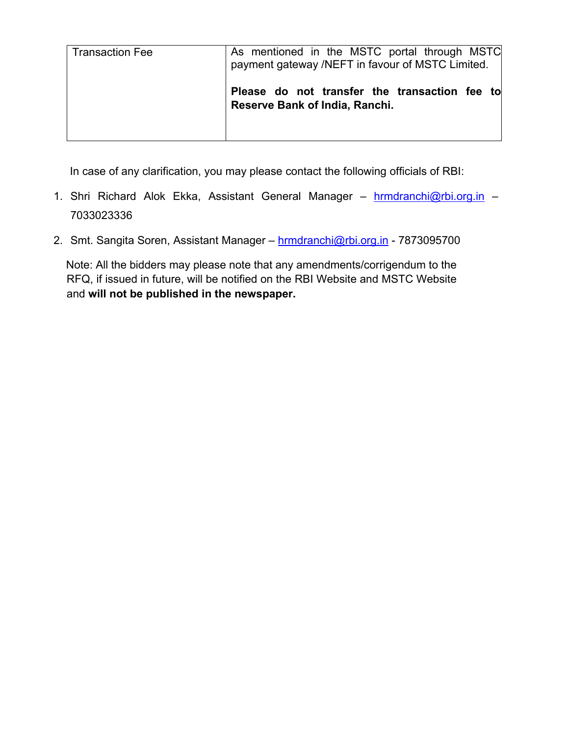| <b>Transaction Fee</b> | As mentioned in the MSTC portal through MSTC<br>payment gateway /NEFT in favour of MSTC Limited. |
|------------------------|--------------------------------------------------------------------------------------------------|
|                        | Please do not transfer the transaction fee to<br>Reserve Bank of India, Ranchi.                  |

In case of any clarification, you may please contact the following officials of RBI:

- 1. Shri Richard Alok Ekka, Assistant General Manager [hrmdranchi@rbi.org.in](mailto:hrmdranchi@rbi.org.in) 7033023336
- 2. Smt. Sangita Soren, Assistant Manager [hrmdranchi@rbi.org.in](mailto:hrmdranchi@rbi.org.in) 7873095700

Note: All the bidders may please note that any amendments/corrigendum to the RFQ, if issued in future, will be notified on the RBI Website and MSTC Website and **will not be published in the newspaper.**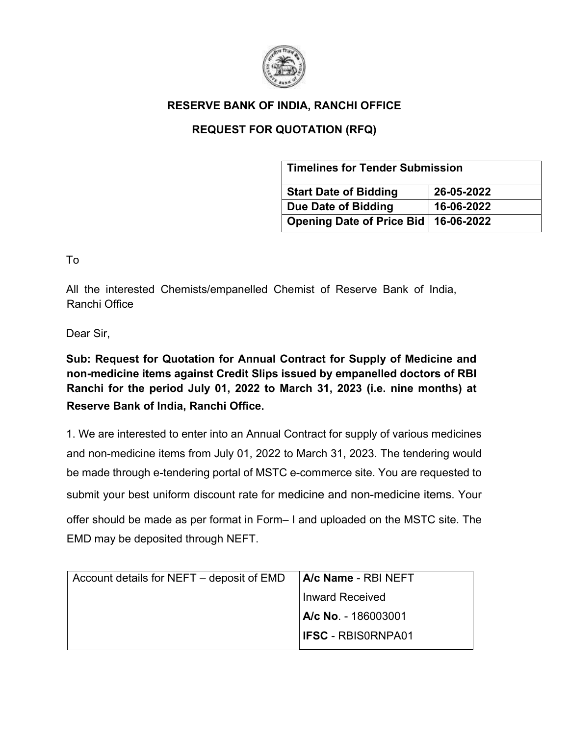

## **RESERVE BANK OF INDIA, RANCHI OFFICE**

## **REQUEST FOR QUOTATION (RFQ)**

| <b>Timelines for Tender Submission</b> |            |  |
|----------------------------------------|------------|--|
| <b>Start Date of Bidding</b>           | 26-05-2022 |  |
| Due Date of Bidding                    | 16-06-2022 |  |
| Opening Date of Price Bid   16-06-2022 |            |  |

To

All the interested Chemists/empanelled Chemist of Reserve Bank of India, Ranchi Office

Dear Sir,

**Sub: Request for Quotation for Annual Contract for Supply of Medicine and non-medicine items against Credit Slips issued by empanelled doctors of RBI Ranchi for the period July 01, 2022 to March 31, 2023 (i.e. nine months) at Reserve Bank of India, Ranchi Office**.

1. We are interested to enter into an Annual Contract for supply of various medicines and non-medicine items from July 01, 2022 to March 31, 2023. The tendering would be made through e-tendering portal of MSTC e-commerce site. You are requested to submit your best uniform discount rate for medicine and non-medicine items. Your offer should be made as per format in Form– I and uploaded on the MSTC site. The EMD may be deposited through NEFT.

| Account details for NEFT – deposit of EMD | <b>A/c Name - RBI NEFT</b> |  |
|-------------------------------------------|----------------------------|--|
|                                           | Inward Received            |  |
|                                           | IA/c No. - 186003001       |  |
|                                           | <b>IFSC - RBISORNPA01</b>  |  |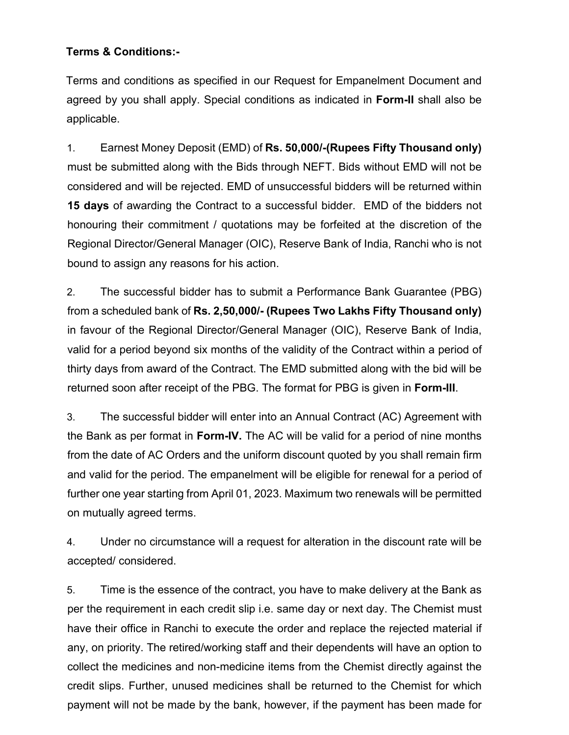## **Terms & Conditions:-**

Terms and conditions as specified in our Request for Empanelment Document and agreed by you shall apply. Special conditions as indicated in **Form-II** shall also be applicable.

1. Earnest Money Deposit (EMD) of **Rs. 50,000/-(Rupees Fifty Thousand only)**  must be submitted along with the Bids through NEFT. Bids without EMD will not be considered and will be rejected. EMD of unsuccessful bidders will be returned within **15 days** of awarding the Contract to a successful bidder. EMD of the bidders not honouring their commitment / quotations may be forfeited at the discretion of the Regional Director/General Manager (OIC), Reserve Bank of India, Ranchi who is not bound to assign any reasons for his action.

2. The successful bidder has to submit a Performance Bank Guarantee (PBG) from a scheduled bank of **Rs. 2,50,000/- (Rupees Two Lakhs Fifty Thousand only)** in favour of the Regional Director/General Manager (OIC), Reserve Bank of India, valid for a period beyond six months of the validity of the Contract within a period of thirty days from award of the Contract. The EMD submitted along with the bid will be returned soon after receipt of the PBG. The format for PBG is given in **Form-III**.

3. The successful bidder will enter into an Annual Contract (AC) Agreement with the Bank as per format in **Form-IV.** The AC will be valid for a period of nine months from the date of AC Orders and the uniform discount quoted by you shall remain firm and valid for the period. The empanelment will be eligible for renewal for a period of further one year starting from April 01, 2023. Maximum two renewals will be permitted on mutually agreed terms.

4. Under no circumstance will a request for alteration in the discount rate will be accepted/ considered.

5. Time is the essence of the contract, you have to make delivery at the Bank as per the requirement in each credit slip i.e. same day or next day. The Chemist must have their office in Ranchi to execute the order and replace the rejected material if any, on priority. The retired/working staff and their dependents will have an option to collect the medicines and non-medicine items from the Chemist directly against the credit slips. Further, unused medicines shall be returned to the Chemist for which payment will not be made by the bank, however, if the payment has been made for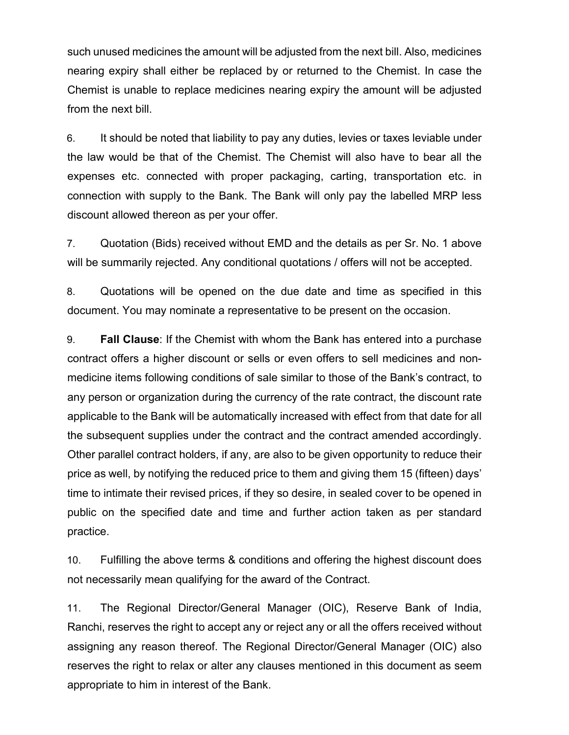such unused medicines the amount will be adjusted from the next bill. Also, medicines nearing expiry shall either be replaced by or returned to the Chemist. In case the Chemist is unable to replace medicines nearing expiry the amount will be adjusted from the next bill.

6. It should be noted that liability to pay any duties, levies or taxes leviable under the law would be that of the Chemist. The Chemist will also have to bear all the expenses etc. connected with proper packaging, carting, transportation etc. in connection with supply to the Bank. The Bank will only pay the labelled MRP less discount allowed thereon as per your offer.

7. Quotation (Bids) received without EMD and the details as per Sr. No. 1 above will be summarily rejected. Any conditional quotations / offers will not be accepted.

8. Quotations will be opened on the due date and time as specified in this document. You may nominate a representative to be present on the occasion.

9. **Fall Clause**: If the Chemist with whom the Bank has entered into a purchase contract offers a higher discount or sells or even offers to sell medicines and nonmedicine items following conditions of sale similar to those of the Bank's contract, to any person or organization during the currency of the rate contract, the discount rate applicable to the Bank will be automatically increased with effect from that date for all the subsequent supplies under the contract and the contract amended accordingly. Other parallel contract holders, if any, are also to be given opportunity to reduce their price as well, by notifying the reduced price to them and giving them 15 (fifteen) days' time to intimate their revised prices, if they so desire, in sealed cover to be opened in public on the specified date and time and further action taken as per standard practice.

10. Fulfilling the above terms & conditions and offering the highest discount does not necessarily mean qualifying for the award of the Contract.

11. The Regional Director/General Manager (OIC), Reserve Bank of India, Ranchi, reserves the right to accept any or reject any or all the offers received without assigning any reason thereof. The Regional Director/General Manager (OIC) also reserves the right to relax or alter any clauses mentioned in this document as seem appropriate to him in interest of the Bank.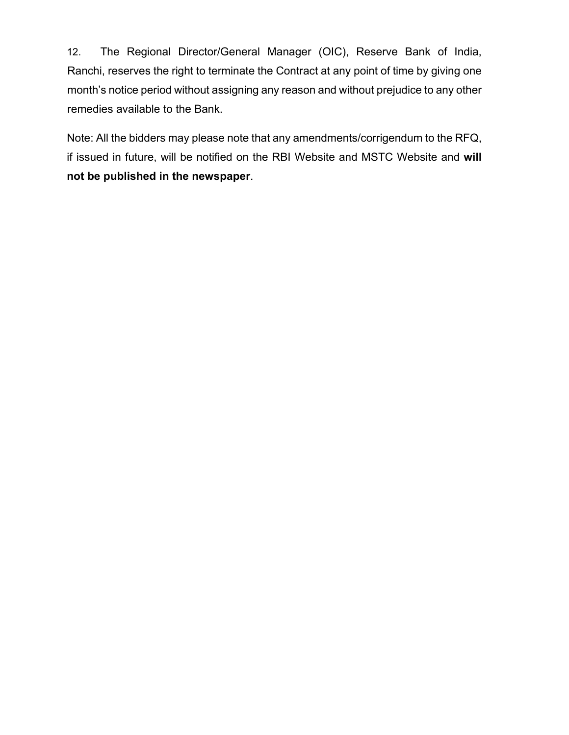12. The Regional Director/General Manager (OIC), Reserve Bank of India, Ranchi, reserves the right to terminate the Contract at any point of time by giving one month's notice period without assigning any reason and without prejudice to any other remedies available to the Bank.

Note: All the bidders may please note that any amendments/corrigendum to the RFQ, if issued in future, will be notified on the RBI Website and MSTC Website and **will not be published in the newspaper**.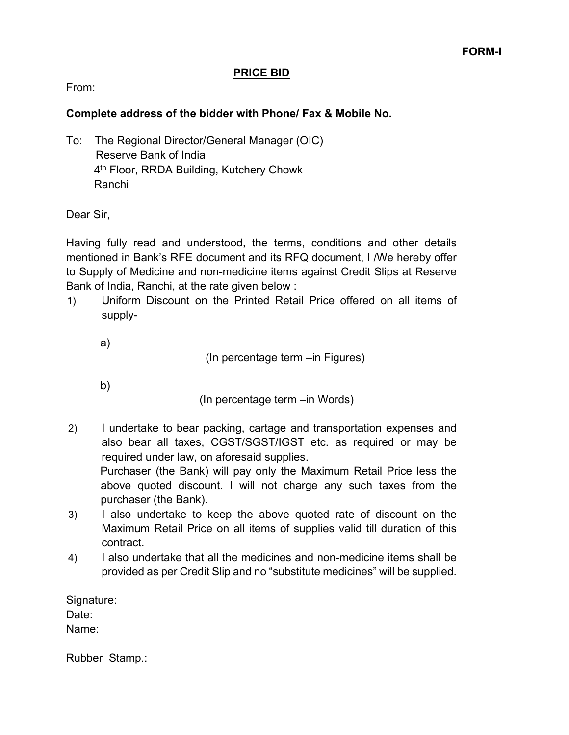## **PRICE BID**

From:

## **Complete address of the bidder with Phone/ Fax & Mobile No.**

To: The Regional Director/General Manager (OIC) Reserve Bank of India 4th Floor, RRDA Building, Kutchery Chowk Ranchi

Dear Sir,

Having fully read and understood, the terms, conditions and other details mentioned in Bank's RFE document and its RFQ document, I /We hereby offer to Supply of Medicine and non-medicine items against Credit Slips at Reserve Bank of India, Ranchi, at the rate given below :

1) Uniform Discount on the Printed Retail Price offered on all items of supply-

a)

(In percentage term –in Figures)

b)

(In percentage term –in Words)

- 2) I undertake to bear packing, cartage and transportation expenses and also bear all taxes, CGST/SGST/IGST etc. as required or may be required under law, on aforesaid supplies. Purchaser (the Bank) will pay only the Maximum Retail Price less the above quoted discount. I will not charge any such taxes from the purchaser (the Bank).
- 3) I also undertake to keep the above quoted rate of discount on the Maximum Retail Price on all items of supplies valid till duration of this contract.
- 4) I also undertake that all the medicines and non-medicine items shall be provided as per Credit Slip and no "substitute medicines" will be supplied.

Signature: Date: Name:

Rubber Stamp.: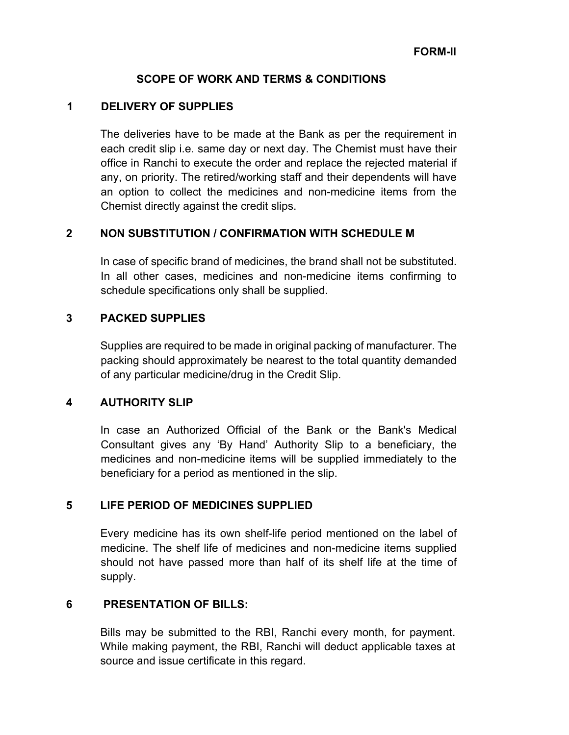## **SCOPE OF WORK AND TERMS & CONDITIONS**

## **1 DELIVERY OF SUPPLIES**

The deliveries have to be made at the Bank as per the requirement in each credit slip i.e. same day or next day. The Chemist must have their office in Ranchi to execute the order and replace the rejected material if any, on priority. The retired/working staff and their dependents will have an option to collect the medicines and non-medicine items from the Chemist directly against the credit slips.

## **2 NON SUBSTITUTION / CONFIRMATION WITH SCHEDULE M**

In case of specific brand of medicines, the brand shall not be substituted. In all other cases, medicines and non-medicine items confirming to schedule specifications only shall be supplied.

## **3 PACKED SUPPLIES**

Supplies are required to be made in original packing of manufacturer. The packing should approximately be nearest to the total quantity demanded of any particular medicine/drug in the Credit Slip.

## **4 AUTHORITY SLIP**

In case an Authorized Official of the Bank or the Bank's Medical Consultant gives any 'By Hand' Authority Slip to a beneficiary, the medicines and non-medicine items will be supplied immediately to the beneficiary for a period as mentioned in the slip.

## **5 LIFE PERIOD OF MEDICINES SUPPLIED**

Every medicine has its own shelf-life period mentioned on the label of medicine. The shelf life of medicines and non-medicine items supplied should not have passed more than half of its shelf life at the time of supply.

#### **6 PRESENTATION OF BILLS:**

Bills may be submitted to the RBI, Ranchi every month, for payment. While making payment, the RBI, Ranchi will deduct applicable taxes at source and issue certificate in this regard.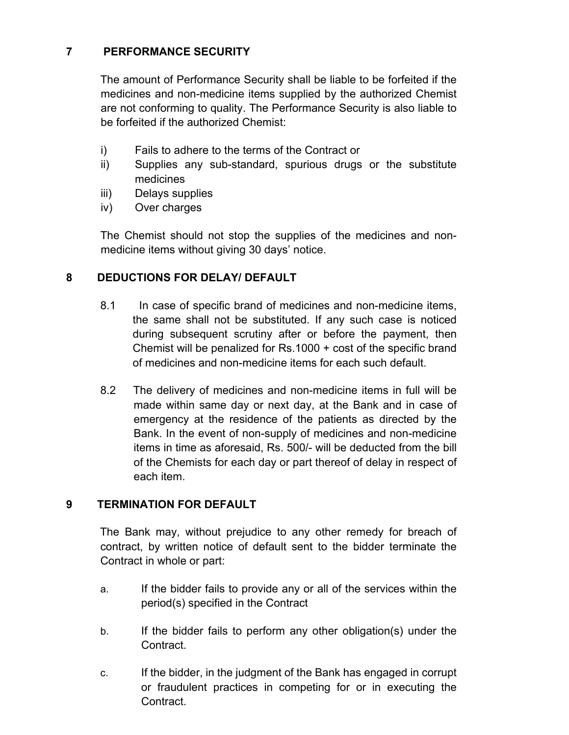## **7 PERFORMANCE SECURITY**

The amount of Performance Security shall be liable to be forfeited if the medicines and non-medicine items supplied by the authorized Chemist are not conforming to quality. The Performance Security is also liable to be forfeited if the authorized Chemist:

- i) Fails to adhere to the terms of the Contract or
- ii) Supplies any sub-standard, spurious drugs or the substitute medicines
- iii) Delays supplies
- iv) Over charges

The Chemist should not stop the supplies of the medicines and nonmedicine items without giving 30 days' notice.

## **8 DEDUCTIONS FOR DELAY/ DEFAULT**

- 8.1 In case of specific brand of medicines and non-medicine items, the same shall not be substituted. If any such case is noticed during subsequent scrutiny after or before the payment, then Chemist will be penalized for Rs.1000 + cost of the specific brand of medicines and non-medicine items for each such default.
- 8.2 The delivery of medicines and non-medicine items in full will be made within same day or next day, at the Bank and in case of emergency at the residence of the patients as directed by the Bank. In the event of non-supply of medicines and non-medicine items in time as aforesaid, Rs. 500/- will be deducted from the bill of the Chemists for each day or part thereof of delay in respect of each item.

## **9 TERMINATION FOR DEFAULT**

The Bank may, without prejudice to any other remedy for breach of contract, by written notice of default sent to the bidder terminate the Contract in whole or part:

- a. If the bidder fails to provide any or all of the services within the period(s) specified in the Contract
- b. If the bidder fails to perform any other obligation(s) under the **Contract**
- c. If the bidder, in the judgment of the Bank has engaged in corrupt or fraudulent practices in competing for or in executing the **Contract**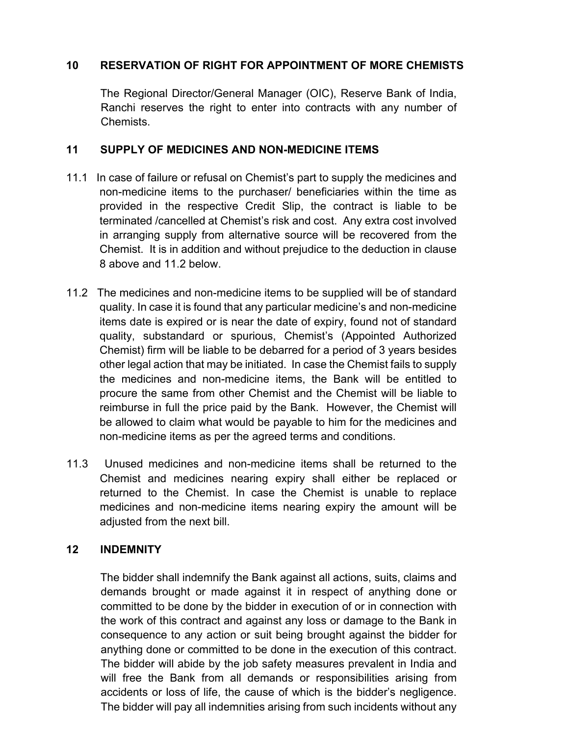## **10 RESERVATION OF RIGHT FOR APPOINTMENT OF MORE CHEMISTS**

The Regional Director/General Manager (OIC), Reserve Bank of India, Ranchi reserves the right to enter into contracts with any number of Chemists.

## **11 SUPPLY OF MEDICINES AND NON-MEDICINE ITEMS**

- 11.1 In case of failure or refusal on Chemist's part to supply the medicines and non-medicine items to the purchaser/ beneficiaries within the time as provided in the respective Credit Slip, the contract is liable to be terminated /cancelled at Chemist's risk and cost. Any extra cost involved in arranging supply from alternative source will be recovered from the Chemist. It is in addition and without prejudice to the deduction in clause 8 above and 11.2 below.
- 11.2 The medicines and non-medicine items to be supplied will be of standard quality. In case it is found that any particular medicine's and non-medicine items date is expired or is near the date of expiry, found not of standard quality, substandard or spurious, Chemist's (Appointed Authorized Chemist) firm will be liable to be debarred for a period of 3 years besides other legal action that may be initiated. In case the Chemist fails to supply the medicines and non-medicine items, the Bank will be entitled to procure the same from other Chemist and the Chemist will be liable to reimburse in full the price paid by the Bank. However, the Chemist will be allowed to claim what would be payable to him for the medicines and non-medicine items as per the agreed terms and conditions.
- 11.3 Unused medicines and non-medicine items shall be returned to the Chemist and medicines nearing expiry shall either be replaced or returned to the Chemist. In case the Chemist is unable to replace medicines and non-medicine items nearing expiry the amount will be adjusted from the next bill.

## **12 INDEMNITY**

The bidder shall indemnify the Bank against all actions, suits, claims and demands brought or made against it in respect of anything done or committed to be done by the bidder in execution of or in connection with the work of this contract and against any loss or damage to the Bank in consequence to any action or suit being brought against the bidder for anything done or committed to be done in the execution of this contract. The bidder will abide by the job safety measures prevalent in India and will free the Bank from all demands or responsibilities arising from accidents or loss of life, the cause of which is the bidder's negligence. The bidder will pay all indemnities arising from such incidents without any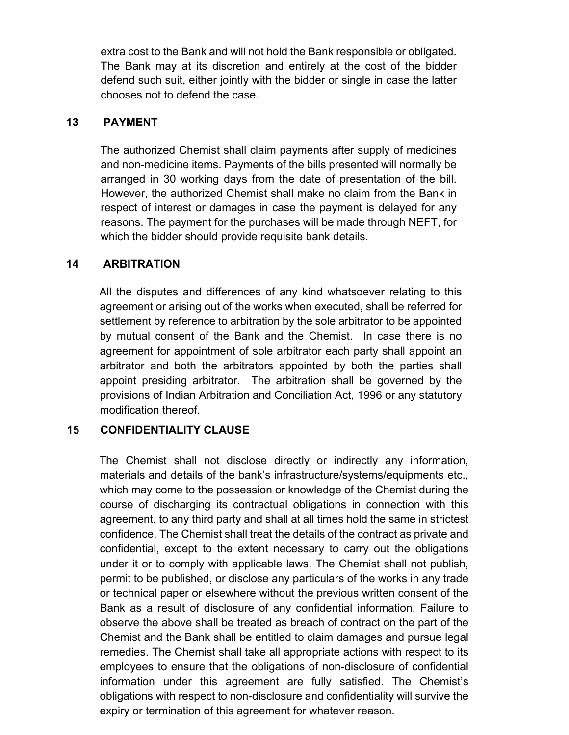extra cost to the Bank and will not hold the Bank responsible or obligated. The Bank may at its discretion and entirely at the cost of the bidder defend such suit, either jointly with the bidder or single in case the latter chooses not to defend the case.

## **13 PAYMENT**

The authorized Chemist shall claim payments after supply of medicines and non-medicine items. Payments of the bills presented will normally be arranged in 30 working days from the date of presentation of the bill. However, the authorized Chemist shall make no claim from the Bank in respect of interest or damages in case the payment is delayed for any reasons. The payment for the purchases will be made through NEFT, for which the bidder should provide requisite bank details.

## **14 ARBITRATION**

All the disputes and differences of any kind whatsoever relating to this agreement or arising out of the works when executed, shall be referred for settlement by reference to arbitration by the sole arbitrator to be appointed by mutual consent of the Bank and the Chemist. In case there is no agreement for appointment of sole arbitrator each party shall appoint an arbitrator and both the arbitrators appointed by both the parties shall appoint presiding arbitrator. The arbitration shall be governed by the provisions of Indian Arbitration and Conciliation Act, 1996 or any statutory modification thereof.

## **15 CONFIDENTIALITY CLAUSE**

The Chemist shall not disclose directly or indirectly any information, materials and details of the bank's infrastructure/systems/equipments etc., which may come to the possession or knowledge of the Chemist during the course of discharging its contractual obligations in connection with this agreement, to any third party and shall at all times hold the same in strictest confidence. The Chemist shall treat the details of the contract as private and confidential, except to the extent necessary to carry out the obligations under it or to comply with applicable laws. The Chemist shall not publish, permit to be published, or disclose any particulars of the works in any trade or technical paper or elsewhere without the previous written consent of the Bank as a result of disclosure of any confidential information. Failure to observe the above shall be treated as breach of contract on the part of the Chemist and the Bank shall be entitled to claim damages and pursue legal remedies. The Chemist shall take all appropriate actions with respect to its employees to ensure that the obligations of non-disclosure of confidential information under this agreement are fully satisfied. The Chemist's obligations with respect to non-disclosure and confidentiality will survive the expiry or termination of this agreement for whatever reason.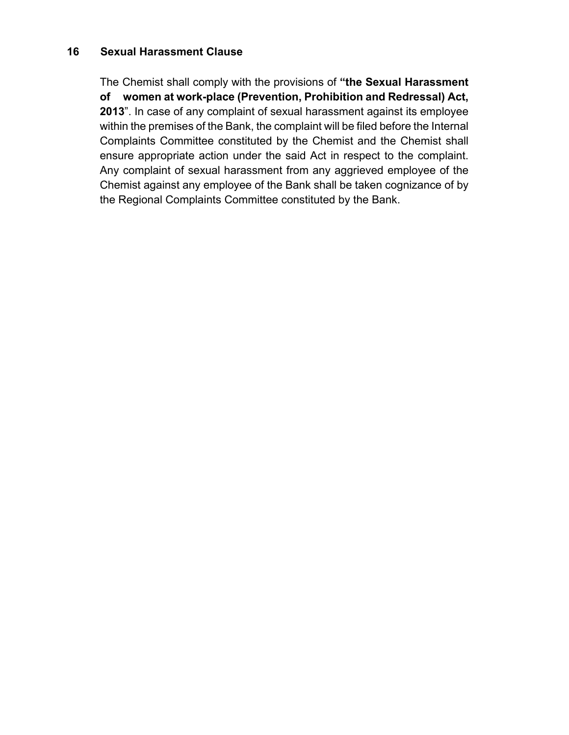## **16 Sexual Harassment Clause**

The Chemist shall comply with the provisions of **"the Sexual Harassment of women at work-place (Prevention, Prohibition and Redressal) Act, 2013**". In case of any complaint of sexual harassment against its employee within the premises of the Bank, the complaint will be filed before the Internal Complaints Committee constituted by the Chemist and the Chemist shall ensure appropriate action under the said Act in respect to the complaint. Any complaint of sexual harassment from any aggrieved employee of the Chemist against any employee of the Bank shall be taken cognizance of by the Regional Complaints Committee constituted by the Bank.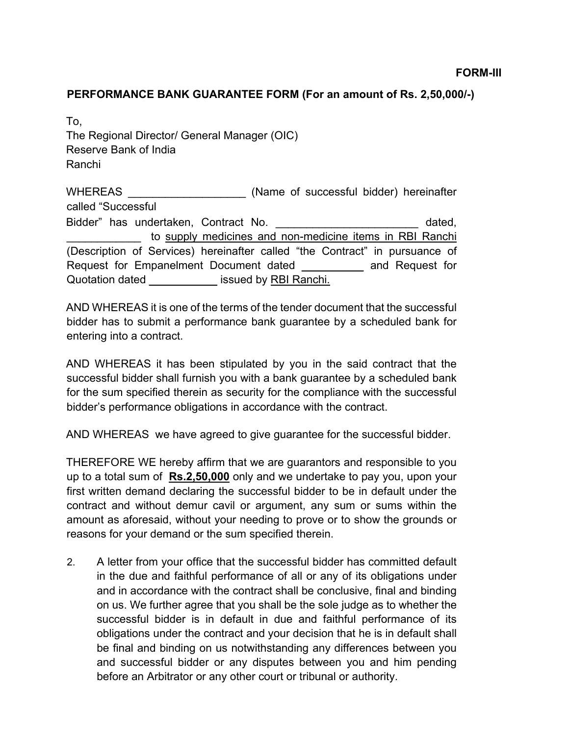## **PERFORMANCE BANK GUARANTEE FORM (For an amount of Rs. 2,50,000/-)**

To, The Regional Director/ General Manager (OIC) Reserve Bank of India Ranchi

WHEREAS **EXECUTE:** (Name of successful bidder) hereinafter called "Successful Bidder" has undertaken, Contract No. **Example 19 and 19 and 19 and 19 and 19 and 19 and 19 and 19 and 19 and 19 a** to supply medicines and non-medicine items in RBI Ranchi (Description of Services) hereinafter called "the Contract" in pursuance of Request for Empanelment Document dated and Request for Quotation dated **Exercise Servers** issued by RBI Ranchi.

AND WHEREAS it is one of the terms of the tender document that the successful bidder has to submit a performance bank guarantee by a scheduled bank for entering into a contract.

AND WHEREAS it has been stipulated by you in the said contract that the successful bidder shall furnish you with a bank guarantee by a scheduled bank for the sum specified therein as security for the compliance with the successful bidder's performance obligations in accordance with the contract.

AND WHEREAS we have agreed to give guarantee for the successful bidder.

THEREFORE WE hereby affirm that we are guarantors and responsible to you up to a total sum of **Rs.2,50,000** only and we undertake to pay you, upon your first written demand declaring the successful bidder to be in default under the contract and without demur cavil or argument, any sum or sums within the amount as aforesaid, without your needing to prove or to show the grounds or reasons for your demand or the sum specified therein.

2. A letter from your office that the successful bidder has committed default in the due and faithful performance of all or any of its obligations under and in accordance with the contract shall be conclusive, final and binding on us. We further agree that you shall be the sole judge as to whether the successful bidder is in default in due and faithful performance of its obligations under the contract and your decision that he is in default shall be final and binding on us notwithstanding any differences between you and successful bidder or any disputes between you and him pending before an Arbitrator or any other court or tribunal or authority.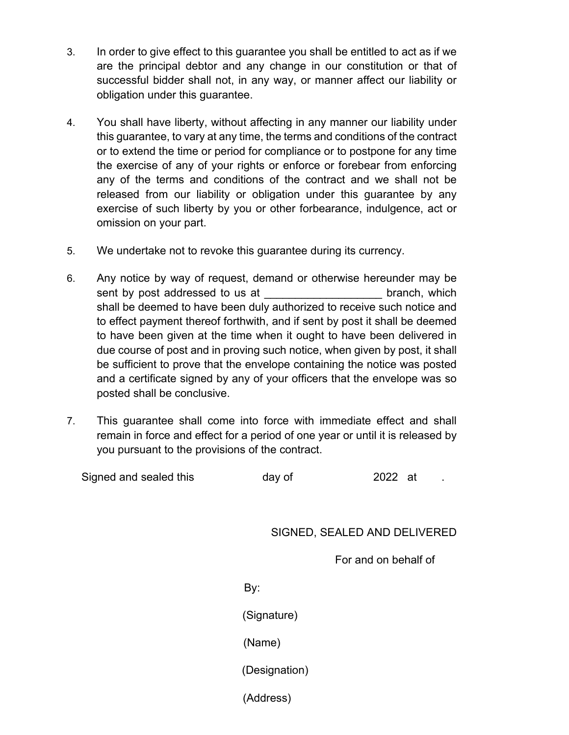- 3. In order to give effect to this guarantee you shall be entitled to act as if we are the principal debtor and any change in our constitution or that of successful bidder shall not, in any way, or manner affect our liability or obligation under this guarantee.
- 4. You shall have liberty, without affecting in any manner our liability under this guarantee, to vary at any time, the terms and conditions of the contract or to extend the time or period for compliance or to postpone for any time the exercise of any of your rights or enforce or forebear from enforcing any of the terms and conditions of the contract and we shall not be released from our liability or obligation under this guarantee by any exercise of such liberty by you or other forbearance, indulgence, act or omission on your part.
- 5. We undertake not to revoke this guarantee during its currency.
- 6. Any notice by way of request, demand or otherwise hereunder may be sent by post addressed to us at the sent of branch, which shall be deemed to have been duly authorized to receive such notice and to effect payment thereof forthwith, and if sent by post it shall be deemed to have been given at the time when it ought to have been delivered in due course of post and in proving such notice, when given by post, it shall be sufficient to prove that the envelope containing the notice was posted and a certificate signed by any of your officers that the envelope was so posted shall be conclusive.
- 7. This guarantee shall come into force with immediate effect and shall remain in force and effect for a period of one year or until it is released by you pursuant to the provisions of the contract.

| Signed and sealed this | day of | 2022 at |
|------------------------|--------|---------|
|                        |        |         |

## SIGNED, SEALED AND DELIVERED

For and on behalf of

By:

(Signature)

(Name)

(Designation)

(Address)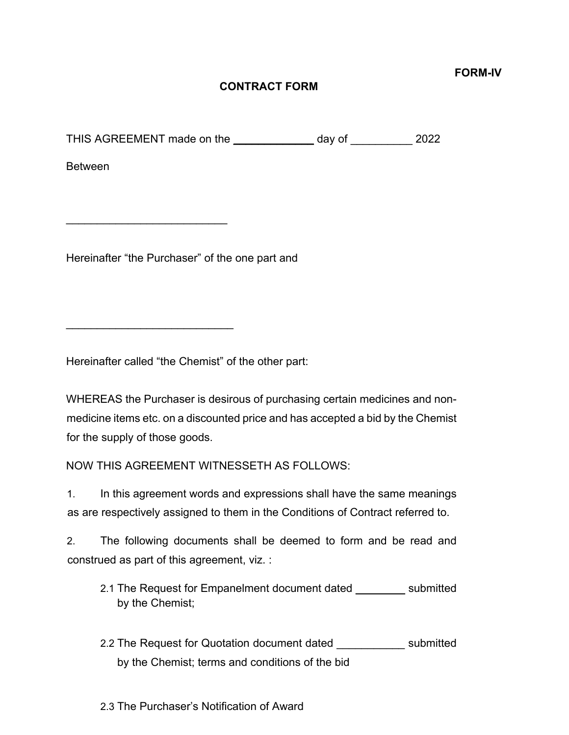**FORM-IV** 

## **CONTRACT FORM**

THIS AGREEMENT made on the \_\_\_\_\_\_\_\_\_\_\_\_\_ day of \_\_\_\_\_\_\_\_\_\_ 2022

Between

Hereinafter "the Purchaser" of the one part and

\_\_\_\_\_\_\_\_\_\_\_\_\_\_\_\_\_\_\_\_\_\_\_\_\_\_

\_\_\_\_\_\_\_\_\_\_\_\_\_\_\_\_\_\_\_\_\_\_\_\_\_\_\_

Hereinafter called "the Chemist" of the other part:

WHEREAS the Purchaser is desirous of purchasing certain medicines and nonmedicine items etc. on a discounted price and has accepted a bid by the Chemist for the supply of those goods.

NOW THIS AGREEMENT WITNESSETH AS FOLLOWS:

1. In this agreement words and expressions shall have the same meanings as are respectively assigned to them in the Conditions of Contract referred to.

2. The following documents shall be deemed to form and be read and construed as part of this agreement, viz. :

- 2.1 The Request for Empanelment document dated \_\_\_\_\_\_\_\_ submitted by the Chemist;
- 2.2 The Request for Quotation document dated \_\_\_\_\_\_\_\_\_\_\_ submitted by the Chemist; terms and conditions of the bid